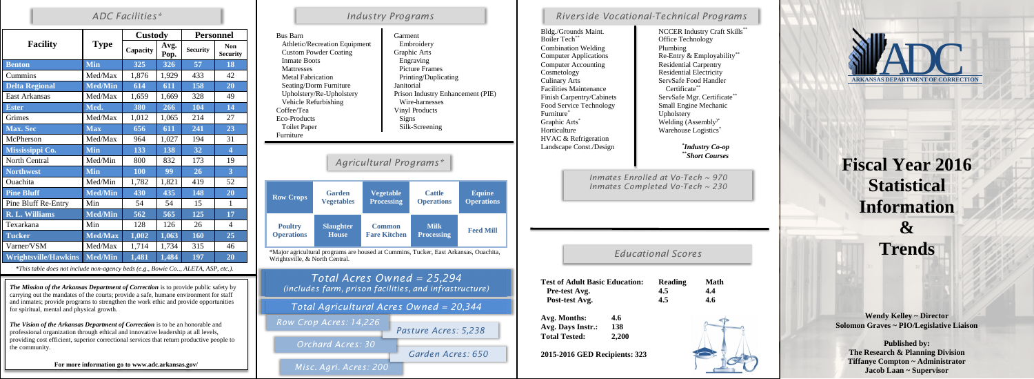|                             | <b>Type</b>    | <b>Custody</b> |                  | <b>Personnel</b> |                               |
|-----------------------------|----------------|----------------|------------------|------------------|-------------------------------|
| <b>Facility</b>             |                | Capacity       | Avg.<br>Pop.     | <b>Security</b>  | <b>Non</b><br><b>Security</b> |
| <b>Benton</b>               | <b>Min</b>     | 325            | 326              | 57               | 18                            |
| Cummins                     | Med/Max        | 1,876          | 1,929            | 433              | 42                            |
| <b>Delta Regional</b>       | <b>Med/Min</b> | 614            | $\overline{611}$ | 158              | 20                            |
| <b>East Arkansas</b>        | Med/Max        | 1,659          | 1,669            | 328              | 49                            |
| <b>Ester</b>                | Med.           | 380            | 266              | 104              | 14                            |
| Grimes                      | Med/Max        | 1,012          | 1,065            | 214              | 27                            |
| <b>Max. Sec</b>             | <b>Max</b>     | 656            | 611              | 241              | 23                            |
| McPherson                   | Med/Max        | 964            | 1,027            | 194              | 31                            |
| Mississippi Co.             | <b>Min</b>     | 133            | 138              | 32               | $\overline{\mathbf{4}}$       |
| North Central               | Med/Min        | 800            | 832              | 173              | 19                            |
| <b>Northwest</b>            | <b>Min</b>     | 100            | 99               | 26               | $\overline{3}$                |
| Ouachita                    | Med/Min        | 1,782          | 1,821            | 419              | 52                            |
| <b>Pine Bluff</b>           | <b>Med/Min</b> | 430            | 435              | 148              | 20                            |
| Pine Bluff Re-Entry         | Min            | 54             | 54               | 15               | $\mathbf{1}$                  |
| <b>R. L. Williams</b>       | <b>Med/Min</b> | 562            | 565              | 125              | 17                            |
| Texarkana                   | Min            | 128            | 126              | 26               | $\overline{4}$                |
| <b>Tucker</b>               | <b>Med/Max</b> | 1,002          | 1,063            | 160              | 25                            |
| Varner/VSM                  | Med/Max        | 1,714          | 1,734            | 315              | 46                            |
| <b>Wrightsville/Hawkins</b> | <b>Med/Min</b> | 1,481          | 1,484            | 197              | 20                            |

#### *\*This table does not include non-agency beds (e.g., Bowie Co.., ALETA, ASP, etc.).*

**Fiscal Year 2016 Statistical Information & Trends**

**Wendy Kelley ~ Director Solomon Graves ~ PIO/Legislative Liaison**

Combination Welding Plumbing Facilities Maintenance Finish Carpentry/Cabinets HVAC & Refrigeration Landscape Const./Design

**Test of Adult Pre-test Avg. Post-test Av** 

> **Published by: The Research & Planning Division Tiffanye Compton ~ Administrator Jacob Laan ~ Supervisor**

Avg. Months: Avg. Days Ins **Total Tested: 2,200**

**2015-2016 GE** 

| <b>Industry Programs</b>                                                                                                                                                                                                                                                                                                                                                                                                                                                                                                                 |                                    |                                       |                                    |                                    |  |
|------------------------------------------------------------------------------------------------------------------------------------------------------------------------------------------------------------------------------------------------------------------------------------------------------------------------------------------------------------------------------------------------------------------------------------------------------------------------------------------------------------------------------------------|------------------------------------|---------------------------------------|------------------------------------|------------------------------------|--|
| <b>Bus Barn</b><br>Garment<br>Athletic/Recreation Equipment<br>Embroidery<br><b>Custom Powder Coating</b><br>Graphic Arts<br><b>Inmate Boots</b><br>Engraving<br><b>Picture Frames</b><br>Mattresses<br><b>Metal Fabrication</b><br>Printing/Duplicating<br>Seating/Dorm Furniture<br>Janitorial<br>Upholstery/Re-Upholstery<br>Prison Industry Enhancement (PIE)<br>Vehicle Refurbishing<br>Wire-harnesses<br>Coffee/Tea<br><b>Vinyl Products</b><br><b>Eco-Products</b><br>Signs<br><b>Toilet Paper</b><br>Silk-Screening<br>Furniture |                                    |                                       |                                    |                                    |  |
| Agricultural Programs*                                                                                                                                                                                                                                                                                                                                                                                                                                                                                                                   |                                    |                                       |                                    |                                    |  |
| <b>Row Crops</b>                                                                                                                                                                                                                                                                                                                                                                                                                                                                                                                         | <b>Garden</b><br><b>Vegetables</b> | <b>Vegetable</b><br><b>Processing</b> | <b>Cattle</b><br><b>Operations</b> | <b>Equine</b><br><b>Operations</b> |  |
| <b>Poultry</b><br><b>Operations</b>                                                                                                                                                                                                                                                                                                                                                                                                                                                                                                      | <b>Slaughter</b><br><b>House</b>   | <b>Common</b><br><b>Fare Kitchen</b>  | <b>Milk</b><br><b>Processing</b>   | <b>Feed Mill</b>                   |  |
| *Major agricultural programs are housed at Cummins, Tucker, East Arkansas, Ouachita,<br>Wrightsville, & North Central.                                                                                                                                                                                                                                                                                                                                                                                                                   |                                    |                                       |                                    |                                    |  |
| Total Acres Owned = 25,294<br>(includes farm, prison facilities, and infrastructure)                                                                                                                                                                                                                                                                                                                                                                                                                                                     |                                    |                                       |                                    |                                    |  |
| Total Agricultural Acres Owned = 20,344                                                                                                                                                                                                                                                                                                                                                                                                                                                                                                  |                                    |                                       |                                    |                                    |  |
|                                                                                                                                                                                                                                                                                                                                                                                                                                                                                                                                          | Row Crop Acres: 14,226             |                                       |                                    |                                    |  |



*\* Industry Co-op \*\* Short Courses*

### *ADC Facilities\* Industry Programs*

### *Educational Scores*

| ŗ.<br>g. | <b>Basic Education:</b>   | <b>Reading</b><br>4.5<br>4.5 | <b>Math</b><br>4.4<br>4.6 |
|----------|---------------------------|------------------------------|---------------------------|
| str.:    | 4.6<br>138<br>2,200       |                              |                           |
|          | <b>ED Recipients: 323</b> |                              |                           |

# *Riverside Vocational-Technical Programs*

Bldg./Grounds Maint. NCCER Industry Craft Skills<sup>\*\*</sup> Boiler Tech<sup>\*\*</sup> **Community Office Technology** Computer Applications Re-Entry & Employability<sup>\*\*</sup> Computer Accounting Residential Carpentry<br>
Residential Electricity<br>
Residential Electricity Residential Electricity Culinary Arts ServSafe Food Handler Certificate\*\* ServSafe Mgr. Certificate<sup>\*</sup> Food Service Technology<br>
Furniture<sup>\*</sup> Upholsterv<br>
Upholsterv Upholstery Graphic Arts<sup>\*</sup> Welding (Assembly<sup>)\*</sup> Horticulture Warehouse Logistics<sup>\*</sup>

> *Inmates Enrolled at Vo-Tech ~ 970 Inmates Completed Vo-Tech ~ 230*

*The Mission of the Arkansas Department of Correction* is to provide public safety by carrying out the mandates of the courts; provide a safe, humane environment for staff and inmates; provide programs to strengthen the work ethic and provide opportunities for spiritual, mental and physical growth.

*The Vision of the Arkansas Department of Correction* is to be an honorable and professional organization through ethical and innovative leadership at all levels, providing cost efficient, superior correctional services that return productive people to the community.

**For more information go to www.adc.arkansas.gov/**

*Misc. Agri. Acres: 200*

*Garden Acres: 650*

*Orchard Acres: 30*

*Pasture Acres: 5,238*